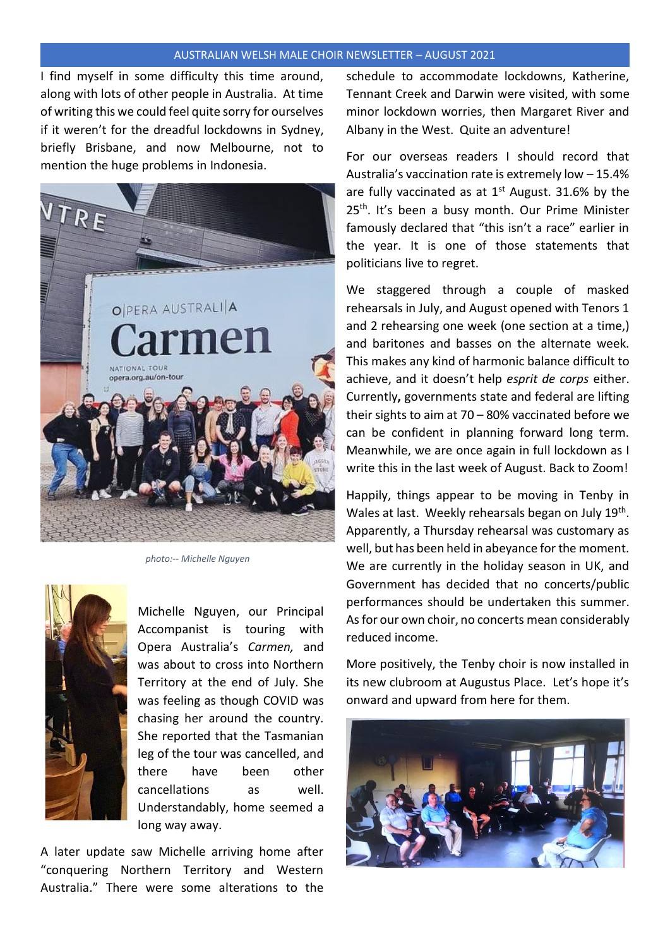## AUSTRALIAN WELSH MALE CHOIR NEWSLETTER – AUGUST 2021

I find myself in some difficulty this time around, along with lots of other people in Australia. At time of writing this we could feel quite sorry for ourselves if it weren't for the dreadful lockdowns in Sydney, briefly Brisbane, and now Melbourne, not to mention the huge problems in Indonesia.



 *photo:-- Michelle Nguyen* 



Michelle Nguyen, our Principal Accompanist is touring with Opera Australia's *Carmen,* and was about to cross into Northern Territory at the end of July. She was feeling as though COVID was chasing her around the country. She reported that the Tasmanian leg of the tour was cancelled, and there have been other cancellations as well. Understandably, home seemed a long way away.

A later update saw Michelle arriving home after "conquering Northern Territory and Western Australia." There were some alterations to the

schedule to accommodate lockdowns, Katherine, Tennant Creek and Darwin were visited, with some minor lockdown worries, then Margaret River and Albany in the West. Quite an adventure!

For our overseas readers I should record that Australia's vaccination rate is extremely low – 15.4% are fully vaccinated as at  $1<sup>st</sup>$  August. 31.6% by the 25<sup>th</sup>. It's been a busy month. Our Prime Minister famously declared that "this isn't a race" earlier in the year. It is one of those statements that politicians live to regret.

We staggered through a couple of masked rehearsals in July, and August opened with Tenors 1 and 2 rehearsing one week (one section at a time,) and baritones and basses on the alternate week. This makes any kind of harmonic balance difficult to achieve, and it doesn't help *esprit de corps* either. Currently**,** governments state and federal are lifting their sights to aim at 70 – 80% vaccinated before we can be confident in planning forward long term. Meanwhile, we are once again in full lockdown as I write this in the last week of August. Back to Zoom!

Happily, things appear to be moving in Tenby in Wales at last. Weekly rehearsals began on July 19<sup>th</sup>. Apparently, a Thursday rehearsal was customary as well, but has been held in abeyance for the moment. We are currently in the holiday season in UK, and Government has decided that no concerts/public performances should be undertaken this summer. As for our own choir, no concerts mean considerably reduced income.

More positively, the Tenby choir is now installed in its new clubroom at Augustus Place. Let's hope it's onward and upward from here for them.

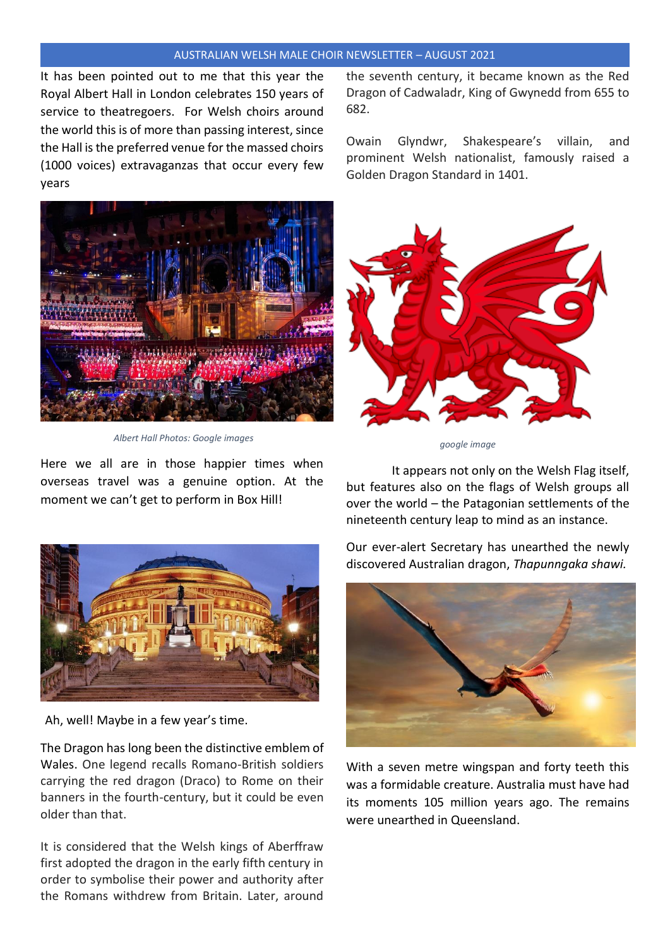## AUSTRALIAN WELSH MALE CHOIR NEWSLETTER – AUGUST 2021

It has been pointed out to me that this year the Royal Albert Hall in London celebrates 150 years of service to theatregoers. For Welsh choirs around the world this is of more than passing interest, since the Hall is the preferred venue for the massed choirs (1000 voices) extravaganzas that occur every few years



 *Albert Hall Photos: Google images* 

Here we all are in those happier times when overseas travel was a genuine option. At the moment we can't get to perform in Box Hill!



Ah, well! Maybe in a few year's time.

The Dragon has long been the distinctive emblem of Wales. One legend recalls Romano-British soldiers carrying the red dragon (Draco) to Rome on their banners in the fourth-century, but it could be even older than that.

It is considered that the Welsh kings of Aberffraw first adopted the dragon in the early fifth century in order to symbolise their power and authority after the Romans withdrew from Britain. Later, around

the seventh century, it became known as the Red Dragon of Cadwaladr, King of Gwynedd from 655 to 682.

Owain Glyndwr, Shakespeare's villain, and prominent Welsh nationalist, famously raised a Golden Dragon Standard in 1401.



 *google image* 

It appears not only on the Welsh Flag itself, but features also on the flags of Welsh groups all over the world – the Patagonian settlements of the nineteenth century leap to mind as an instance.

Our ever-alert Secretary has unearthed the newly discovered Australian dragon, *Thapunngaka shawi.*



With a seven metre wingspan and forty teeth this was a formidable creature. Australia must have had its moments 105 million years ago. The remains were unearthed in Queensland.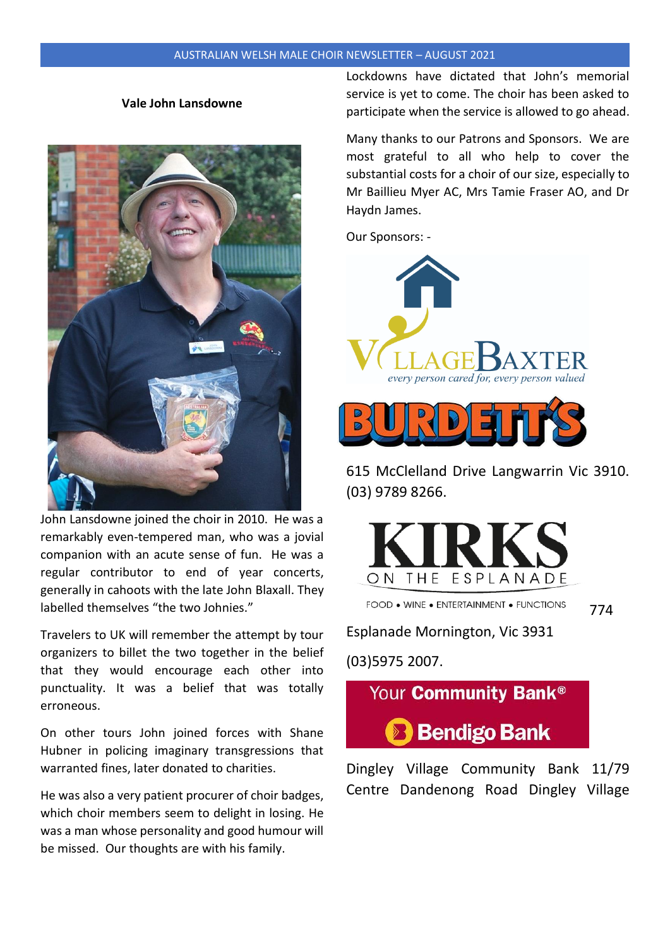## **Vale John Lansdowne**



John Lansdowne joined the choir in 2010. He was a remarkably even-tempered man, who was a jovial companion with an acute sense of fun. He was a regular contributor to end of year concerts, generally in cahoots with the late John Blaxall. They labelled themselves "the two Johnies."

Travelers to UK will remember the attempt by tour organizers to billet the two together in the belief that they would encourage each other into punctuality. It was a belief that was totally erroneous.

On other tours John joined forces with Shane Hubner in policing imaginary transgressions that warranted fines, later donated to charities.

He was also a very patient procurer of choir badges, which choir members seem to delight in losing. He was a man whose personality and good humour will be missed. Our thoughts are with his family.

Lockdowns have dictated that John's memorial service is yet to come. The choir has been asked to participate when the service is allowed to go ahead.

Many thanks to our Patrons and Sponsors. We are most grateful to all who help to cover the substantial costs for a choir of our size, especially to Mr Baillieu Myer AC, Mrs Tamie Fraser AO, and Dr Haydn James.

Our Sponsors: -



615 McClelland Drive Langwarrin Vic 3910. (03) 9789 8266.



FOOD . WINE . ENTERTAINMENT . FUNCTIONS 774

Esplanade Mornington, Vic 3931

(03)5975 2007.



Dingley Village Community Bank 11/79 Centre Dandenong Road Dingley Village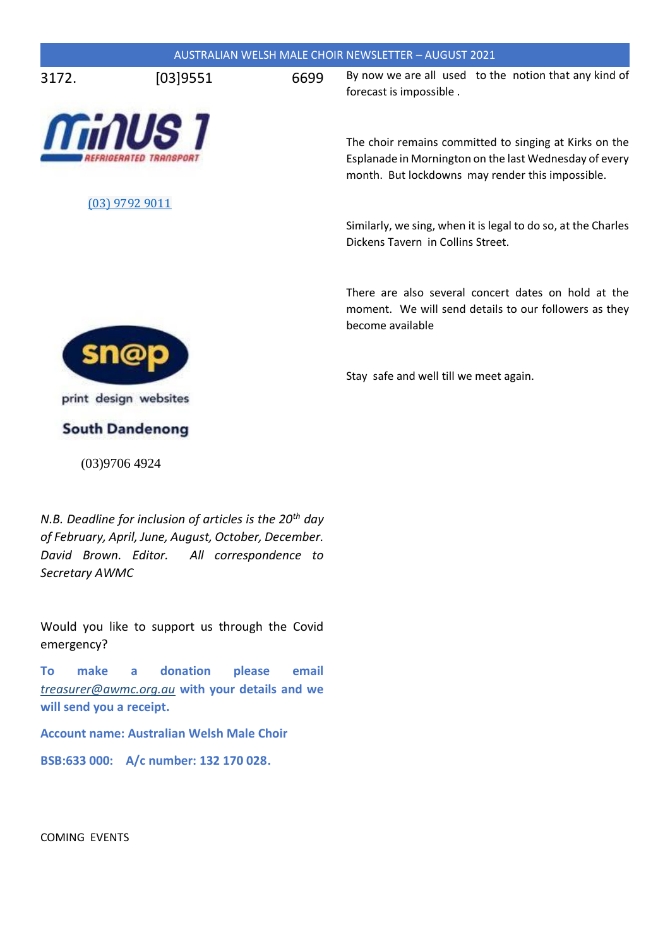|       |                |      | <b>AUSTRALIAN WELSH MALE CHOIR NEWSLETTER - AUGUST 2021</b>                                                                                                          |
|-------|----------------|------|----------------------------------------------------------------------------------------------------------------------------------------------------------------------|
| 3172. | [03]9551       | 6699 | By now we are all used to the notion that any kind of<br>forecast is impossible.                                                                                     |
|       | <b>ThinUS1</b> |      | The choir remains committed to singing at Kirks on the<br>Esplanade in Mornington on the last Wednesday of every<br>month. But lockdowns may render this impossible. |
|       | (03) 9792 9011 |      | Similarly, we sing, when it is legal to do so, at the Charles<br>Dickens Tavern in Collins Street.                                                                   |
|       |                |      | There are also several concert dates on hold at the<br>moment. We will send details to our followers as they<br>become available                                     |
|       |                |      | Stay safe and well till we meet again.                                                                                                                               |

print design websites

**South Dandenong** 

(03)9706 4924

*N.B. Deadline for inclusion of articles is the 20th day of February, April, June, August, October, December. David Brown. Editor. All correspondence to Secretary AWMC*

Would you like to support us through the Covid emergency?

**To make a donation please email**  *[treasurer@awmc.org.au](mailto:treasurer@awmc.org.au)* **with your details and we will send you a receipt.**

**Account name: Australian Welsh Male Choir**

**BSB:633 000: A/c number: 132 170 028.**

COMING EVENTS